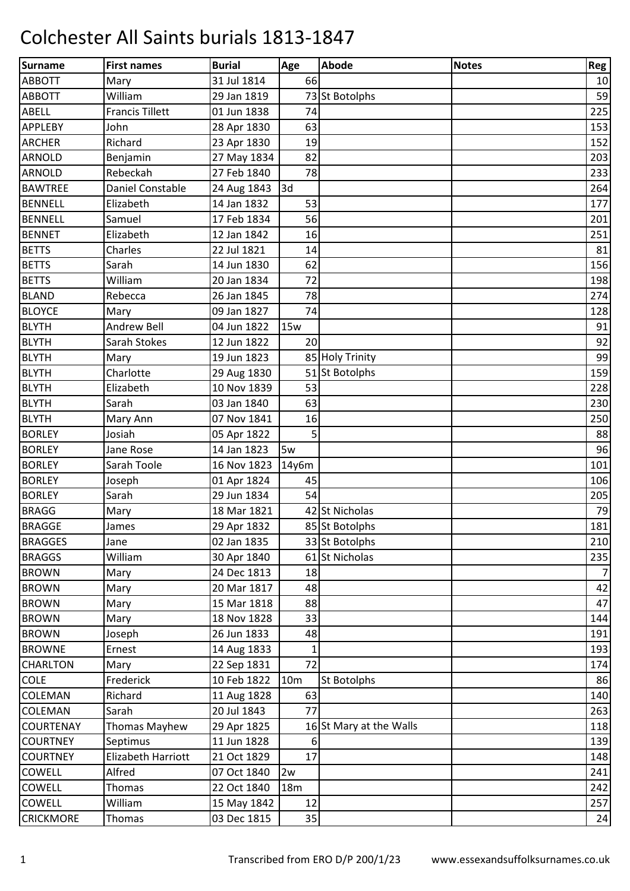| Surname          | <b>First names</b>     | <b>Burial</b> | Age             | <b>Abode</b>            | <b>Notes</b> | Reg            |
|------------------|------------------------|---------------|-----------------|-------------------------|--------------|----------------|
| <b>ABBOTT</b>    | Mary                   | 31 Jul 1814   | 66              |                         |              | 10             |
| <b>ABBOTT</b>    | William                | 29 Jan 1819   |                 | 73 St Botolphs          |              | 59             |
| <b>ABELL</b>     | <b>Francis Tillett</b> | 01 Jun 1838   | 74              |                         |              | 225            |
| <b>APPLEBY</b>   | John                   | 28 Apr 1830   | 63              |                         |              | 153            |
| <b>ARCHER</b>    | Richard                | 23 Apr 1830   | 19              |                         |              | 152            |
| <b>ARNOLD</b>    | Benjamin               | 27 May 1834   | 82              |                         |              | 203            |
| <b>ARNOLD</b>    | Rebeckah               | 27 Feb 1840   | 78              |                         |              | 233            |
| <b>BAWTREE</b>   | Daniel Constable       | 24 Aug 1843   | 3d              |                         |              | 264            |
| <b>BENNELL</b>   | Elizabeth              | 14 Jan 1832   | 53              |                         |              | 177            |
| <b>BENNELL</b>   | Samuel                 | 17 Feb 1834   | 56              |                         |              | 201            |
| <b>BENNET</b>    | Elizabeth              | 12 Jan 1842   | 16              |                         |              | 251            |
| <b>BETTS</b>     | Charles                | 22 Jul 1821   | 14              |                         |              | 81             |
| <b>BETTS</b>     | Sarah                  | 14 Jun 1830   | 62              |                         |              | 156            |
| <b>BETTS</b>     | William                | 20 Jan 1834   | 72              |                         |              | 198            |
| <b>BLAND</b>     | Rebecca                | 26 Jan 1845   | 78              |                         |              | 274            |
| <b>BLOYCE</b>    | Mary                   | 09 Jan 1827   | 74              |                         |              | 128            |
| <b>BLYTH</b>     | <b>Andrew Bell</b>     | 04 Jun 1822   | <b>15w</b>      |                         |              | 91             |
| <b>BLYTH</b>     | Sarah Stokes           | 12 Jun 1822   | 20              |                         |              | 92             |
| <b>BLYTH</b>     | Mary                   | 19 Jun 1823   |                 | 85 Holy Trinity         |              | 99             |
| <b>BLYTH</b>     | Charlotte              | 29 Aug 1830   |                 | 51 St Botolphs          |              | 159            |
| <b>BLYTH</b>     | Elizabeth              | 10 Nov 1839   | 53              |                         |              | 228            |
| <b>BLYTH</b>     | Sarah                  | 03 Jan 1840   | 63              |                         |              | 230            |
| <b>BLYTH</b>     | Mary Ann               | 07 Nov 1841   | 16              |                         |              | 250            |
| <b>BORLEY</b>    | Josiah                 | 05 Apr 1822   | 5               |                         |              | 88             |
| <b>BORLEY</b>    | Jane Rose              | 14 Jan 1823   | 5w              |                         |              | 96             |
| <b>BORLEY</b>    | Sarah Toole            | 16 Nov 1823   | 14y6m           |                         |              | 101            |
| <b>BORLEY</b>    | Joseph                 | 01 Apr 1824   | 45              |                         |              | 106            |
| <b>BORLEY</b>    | Sarah                  | 29 Jun 1834   | 54              |                         |              | 205            |
| <b>BRAGG</b>     | Mary                   | 18 Mar 1821   |                 | 42 St Nicholas          |              | 79             |
| <b>BRAGGE</b>    | James                  | 29 Apr 1832   |                 | 85 St Botolphs          |              | 181            |
| <b>BRAGGES</b>   | Jane                   | 02 Jan 1835   |                 | 33 St Botolphs          |              | 210            |
| <b>BRAGGS</b>    | William                | 30 Apr 1840   |                 | 61 St Nicholas          |              | 235            |
| <b>BROWN</b>     | Mary                   | 24 Dec 1813   | 18              |                         |              | $\overline{7}$ |
| <b>BROWN</b>     | Mary                   | 20 Mar 1817   | 48              |                         |              | 42             |
| <b>BROWN</b>     | Mary                   | 15 Mar 1818   | 88              |                         |              | 47             |
| <b>BROWN</b>     | Mary                   | 18 Nov 1828   | 33              |                         |              | 144            |
| <b>BROWN</b>     | Joseph                 | 26 Jun 1833   | 48              |                         |              | 191            |
| <b>BROWNE</b>    | Ernest                 | 14 Aug 1833   | 1               |                         |              | 193            |
| <b>CHARLTON</b>  | Mary                   | 22 Sep 1831   | 72              |                         |              | 174            |
| <b>COLE</b>      | Frederick              | 10 Feb 1822   | 10 <sub>m</sub> | St Botolphs             |              | 86             |
| <b>COLEMAN</b>   | Richard                | 11 Aug 1828   | 63              |                         |              | 140            |
| <b>COLEMAN</b>   | Sarah                  | 20 Jul 1843   | 77              |                         |              | 263            |
| <b>COURTENAY</b> | Thomas Mayhew          | 29 Apr 1825   |                 | 16 St Mary at the Walls |              | 118            |
| <b>COURTNEY</b>  | Septimus               | 11 Jun 1828   | 6               |                         |              | 139            |
| <b>COURTNEY</b>  | Elizabeth Harriott     | 21 Oct 1829   | 17              |                         |              | 148            |
| <b>COWELL</b>    | Alfred                 | 07 Oct 1840   | 2w              |                         |              | 241            |
| <b>COWELL</b>    | <b>Thomas</b>          | 22 Oct 1840   | 18m             |                         |              | 242            |
| <b>COWELL</b>    | William                | 15 May 1842   | 12              |                         |              | 257            |
| <b>CRICKMORE</b> | Thomas                 | 03 Dec 1815   | 35              |                         |              | 24             |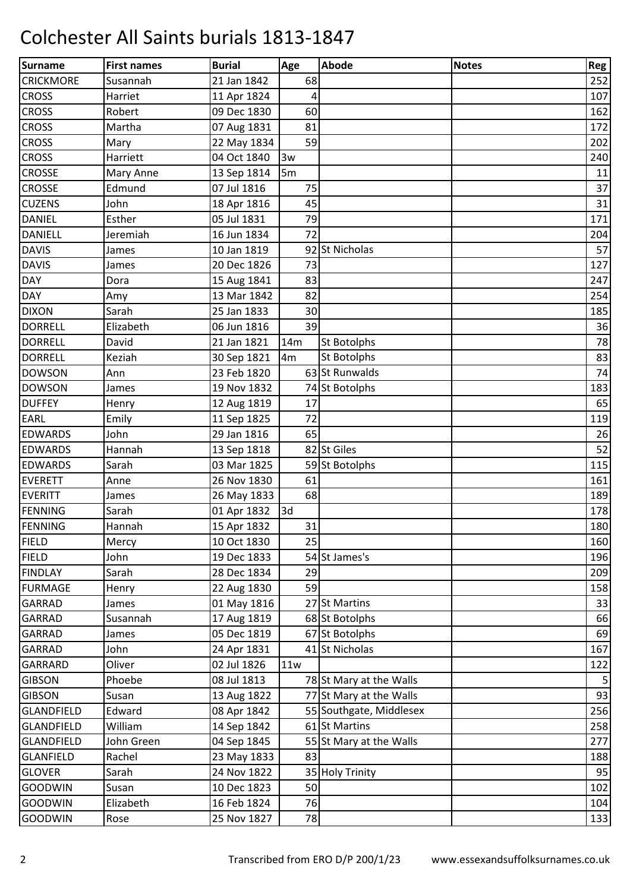| Surname           | <b>First names</b> | <b>Burial</b> | Age            | Abode                   | <b>Notes</b> | Reg |
|-------------------|--------------------|---------------|----------------|-------------------------|--------------|-----|
| <b>CRICKMORE</b>  | Susannah           | 21 Jan 1842   | 68             |                         |              | 252 |
| <b>CROSS</b>      | Harriet            | 11 Apr 1824   | 4              |                         |              | 107 |
| <b>CROSS</b>      | Robert             | 09 Dec 1830   | 60             |                         |              | 162 |
| <b>CROSS</b>      | Martha             | 07 Aug 1831   | 81             |                         |              | 172 |
| <b>CROSS</b>      | Mary               | 22 May 1834   | 59             |                         |              | 202 |
| <b>CROSS</b>      | Harriett           | 04 Oct 1840   | 3w             |                         |              | 240 |
| <b>CROSSE</b>     | Mary Anne          | 13 Sep 1814   | 5 <sub>m</sub> |                         |              | 11  |
| <b>CROSSE</b>     | Edmund             | 07 Jul 1816   | 75             |                         |              | 37  |
| <b>CUZENS</b>     | John               | 18 Apr 1816   | 45             |                         |              | 31  |
| <b>DANIEL</b>     | Esther             | 05 Jul 1831   | 79             |                         |              | 171 |
| <b>DANIELL</b>    | Jeremiah           | 16 Jun 1834   | 72             |                         |              | 204 |
| <b>DAVIS</b>      | James              | 10 Jan 1819   |                | 92 St Nicholas          |              | 57  |
| <b>DAVIS</b>      | James              | 20 Dec 1826   | 73             |                         |              | 127 |
| <b>DAY</b>        | Dora               | 15 Aug 1841   | 83             |                         |              | 247 |
| <b>DAY</b>        | Amy                | 13 Mar 1842   | 82             |                         |              | 254 |
| <b>DIXON</b>      | Sarah              | 25 Jan 1833   | 30             |                         |              | 185 |
| <b>DORRELL</b>    | Elizabeth          | 06 Jun 1816   | 39             |                         |              | 36  |
| <b>DORRELL</b>    | David              | 21 Jan 1821   | 14m            | St Botolphs             |              | 78  |
| <b>DORRELL</b>    | Keziah             | 30 Sep 1821   | 4 <sub>m</sub> | St Botolphs             |              | 83  |
| <b>DOWSON</b>     | Ann                | 23 Feb 1820   |                | 63 St Runwalds          |              | 74  |
| <b>DOWSON</b>     | James              | 19 Nov 1832   |                | 74 St Botolphs          |              | 183 |
| <b>DUFFEY</b>     | Henry              | 12 Aug 1819   | 17             |                         |              | 65  |
| EARL              | Emily              | 11 Sep 1825   | 72             |                         |              | 119 |
| <b>EDWARDS</b>    | John               | 29 Jan 1816   | 65             |                         |              | 26  |
| <b>EDWARDS</b>    | Hannah             | 13 Sep 1818   |                | 82 St Giles             |              | 52  |
| <b>EDWARDS</b>    | Sarah              | 03 Mar 1825   |                | 59 St Botolphs          |              | 115 |
| <b>EVERETT</b>    | Anne               | 26 Nov 1830   | 61             |                         |              | 161 |
| <b>EVERITT</b>    | James              | 26 May 1833   | 68             |                         |              | 189 |
| FENNING           | Sarah              | 01 Apr 1832   | 3d             |                         |              | 178 |
| FENNING           | Hannah             | 15 Apr 1832   | 31             |                         |              | 180 |
| <b>FIELD</b>      | Mercy              | 10 Oct 1830   | 25             |                         |              | 160 |
| <b>FIELD</b>      | John               | 19 Dec 1833   |                | 54 St James's           |              | 196 |
| <b>FINDLAY</b>    | Sarah              | 28 Dec 1834   | 29             |                         |              | 209 |
| <b>FURMAGE</b>    | Henry              | 22 Aug 1830   | 59             |                         |              | 158 |
| <b>GARRAD</b>     | James              | 01 May 1816   |                | 27 St Martins           |              | 33  |
| <b>GARRAD</b>     | Susannah           | 17 Aug 1819   |                | 68 St Botolphs          |              | 66  |
| <b>GARRAD</b>     | James              | 05 Dec 1819   |                | 67 St Botolphs          |              | 69  |
| <b>GARRAD</b>     | John               | 24 Apr 1831   |                | 41 St Nicholas          |              | 167 |
| GARRARD           | Oliver             | 02 Jul 1826   | 11w            |                         |              | 122 |
| <b>GIBSON</b>     | Phoebe             | 08 Jul 1813   |                | 78 St Mary at the Walls |              | 5   |
| <b>GIBSON</b>     | Susan              | 13 Aug 1822   |                | 77 St Mary at the Walls |              | 93  |
| <b>GLANDFIELD</b> | Edward             | 08 Apr 1842   |                | 55 Southgate, Middlesex |              | 256 |
| <b>GLANDFIELD</b> | William            | 14 Sep 1842   |                | 61 St Martins           |              | 258 |
| <b>GLANDFIELD</b> | John Green         | 04 Sep 1845   |                | 55 St Mary at the Walls |              | 277 |
| <b>GLANFIELD</b>  | Rachel             | 23 May 1833   | 83             |                         |              | 188 |
| <b>GLOVER</b>     | Sarah              | 24 Nov 1822   |                | 35 Holy Trinity         |              | 95  |
| <b>GOODWIN</b>    | Susan              | 10 Dec 1823   | 50             |                         |              | 102 |
| <b>GOODWIN</b>    | Elizabeth          | 16 Feb 1824   | 76             |                         |              | 104 |
| <b>GOODWIN</b>    | Rose               | 25 Nov 1827   | 78             |                         |              | 133 |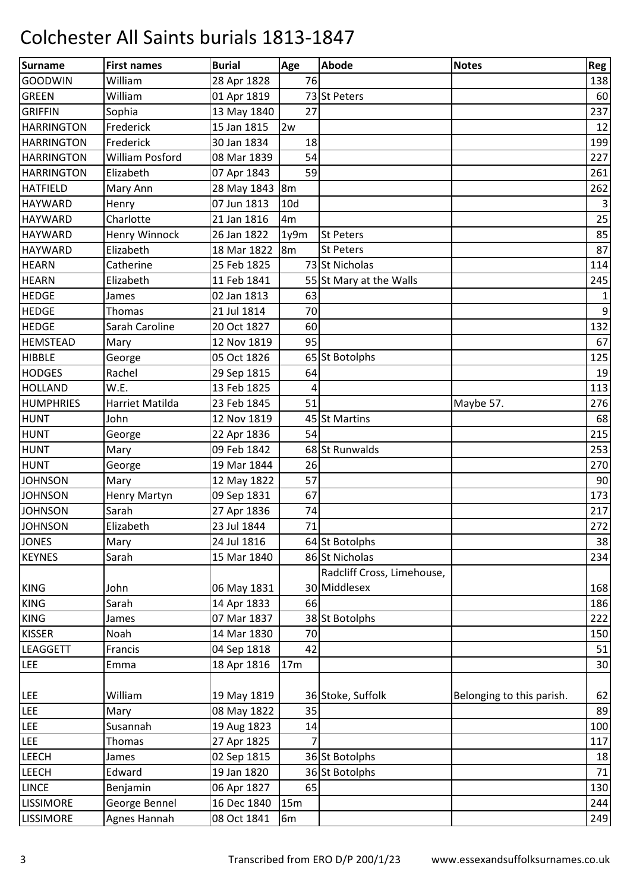| Surname           | <b>First names</b>  | <b>Burial</b>  | Age             | <b>Abode</b>               | <b>Notes</b>              | <b>Reg</b>     |
|-------------------|---------------------|----------------|-----------------|----------------------------|---------------------------|----------------|
| <b>GOODWIN</b>    | William             | 28 Apr 1828    | 76              |                            |                           | 138            |
| <b>GREEN</b>      | William             | 01 Apr 1819    |                 | 73 St Peters               |                           | 60             |
| <b>GRIFFIN</b>    | Sophia              | 13 May 1840    | 27              |                            |                           | 237            |
| <b>HARRINGTON</b> | Frederick           | 15 Jan 1815    | 2w              |                            |                           | 12             |
| <b>HARRINGTON</b> | Frederick           | 30 Jan 1834    | 18              |                            |                           | 199            |
| <b>HARRINGTON</b> | William Posford     | 08 Mar 1839    | 54              |                            |                           | 227            |
| <b>HARRINGTON</b> | Elizabeth           | 07 Apr 1843    | 59              |                            |                           | 261            |
| <b>HATFIELD</b>   | Mary Ann            | 28 May 1843 8m |                 |                            |                           | 262            |
| <b>HAYWARD</b>    | Henry               | 07 Jun 1813    | 10 <sub>d</sub> |                            |                           | 3              |
| <b>HAYWARD</b>    | Charlotte           | 21 Jan 1816    | 4m              |                            |                           | 25             |
| <b>HAYWARD</b>    | Henry Winnock       | 26 Jan 1822    | 1y9m            | <b>St Peters</b>           |                           | 85             |
| <b>HAYWARD</b>    | Elizabeth           | 18 Mar 1822    | $\mathsf{I}$ 8m | <b>St Peters</b>           |                           | 87             |
| <b>HEARN</b>      | Catherine           | 25 Feb 1825    |                 | 73 St Nicholas             |                           | 114            |
| <b>HEARN</b>      | Elizabeth           | 11 Feb 1841    |                 | 55 St Mary at the Walls    |                           | 245            |
| <b>HEDGE</b>      | James               | 02 Jan 1813    | 63              |                            |                           | $\mathbf{1}$   |
| <b>HEDGE</b>      | <b>Thomas</b>       | 21 Jul 1814    | 70              |                            |                           | $\overline{9}$ |
| <b>HEDGE</b>      | Sarah Caroline      | 20 Oct 1827    | 60              |                            |                           | 132            |
| <b>HEMSTEAD</b>   | Mary                | 12 Nov 1819    | 95              |                            |                           | 67             |
| <b>HIBBLE</b>     | George              | 05 Oct 1826    |                 | 65 St Botolphs             |                           | 125            |
| <b>HODGES</b>     | Rachel              | 29 Sep 1815    | 64              |                            |                           | 19             |
| <b>HOLLAND</b>    | W.E.                | 13 Feb 1825    | 4               |                            |                           | 113            |
| <b>HUMPHRIES</b>  | Harriet Matilda     | 23 Feb 1845    | 51              |                            | Maybe 57.                 | 276            |
| <b>HUNT</b>       | John                | 12 Nov 1819    |                 | 45 St Martins              |                           | 68             |
| <b>HUNT</b>       | George              | 22 Apr 1836    | 54              |                            |                           | 215            |
| <b>HUNT</b>       | Mary                | 09 Feb 1842    |                 | 68 St Runwalds             |                           | 253            |
| <b>HUNT</b>       | George              | 19 Mar 1844    | 26              |                            |                           | 270            |
| <b>JOHNSON</b>    | Mary                | 12 May 1822    | 57              |                            |                           | 90             |
| <b>JOHNSON</b>    | <b>Henry Martyn</b> | 09 Sep 1831    | 67              |                            |                           | 173            |
| <b>JOHNSON</b>    | Sarah               | 27 Apr 1836    | 74              |                            |                           | 217            |
| <b>JOHNSON</b>    | Elizabeth           | 23 Jul 1844    | 71              |                            |                           | 272            |
| <b>JONES</b>      | Mary                | 24 Jul 1816    |                 | 64 St Botolphs             |                           | 38             |
| <b>KEYNES</b>     | Sarah               | 15 Mar 1840    |                 | 86 St Nicholas             |                           | 234            |
|                   |                     |                |                 | Radcliff Cross, Limehouse, |                           |                |
| <b>KING</b>       | John                | 06 May 1831    |                 | 30 Middlesex               |                           | 168            |
| <b>KING</b>       | Sarah               | 14 Apr 1833    | 66              |                            |                           | 186            |
| <b>KING</b>       | James               | 07 Mar 1837    |                 | 38 St Botolphs             |                           | 222            |
| <b>KISSER</b>     | Noah                | 14 Mar 1830    | 70              |                            |                           | 150            |
| <b>LEAGGETT</b>   | Francis             | 04 Sep 1818    | 42              |                            |                           | 51             |
| <b>LEE</b>        | Emma                | 18 Apr 1816    | 17 <sub>m</sub> |                            |                           | 30             |
|                   |                     |                |                 |                            |                           |                |
| <b>LEE</b>        | William             | 19 May 1819    |                 | 36 Stoke, Suffolk          | Belonging to this parish. | 62             |
| <b>LEE</b>        | Mary                | 08 May 1822    | 35              |                            |                           | 89             |
| <b>LEE</b>        | Susannah            | 19 Aug 1823    | 14              |                            |                           | 100            |
| LEE               | <b>Thomas</b>       | 27 Apr 1825    | 7               |                            |                           | 117            |
| <b>LEECH</b>      | James               | 02 Sep 1815    |                 | 36 St Botolphs             |                           | 18             |
| <b>LEECH</b>      | Edward              | 19 Jan 1820    |                 | 36 St Botolphs             |                           | 71             |
| <b>LINCE</b>      | Benjamin            | 06 Apr 1827    | 65              |                            |                           | 130            |
| <b>LISSIMORE</b>  | George Bennel       | 16 Dec 1840    | 15m             |                            |                           | 244            |
| <b>LISSIMORE</b>  | Agnes Hannah        | 08 Oct 1841    | 6 <sub>m</sub>  |                            |                           | 249            |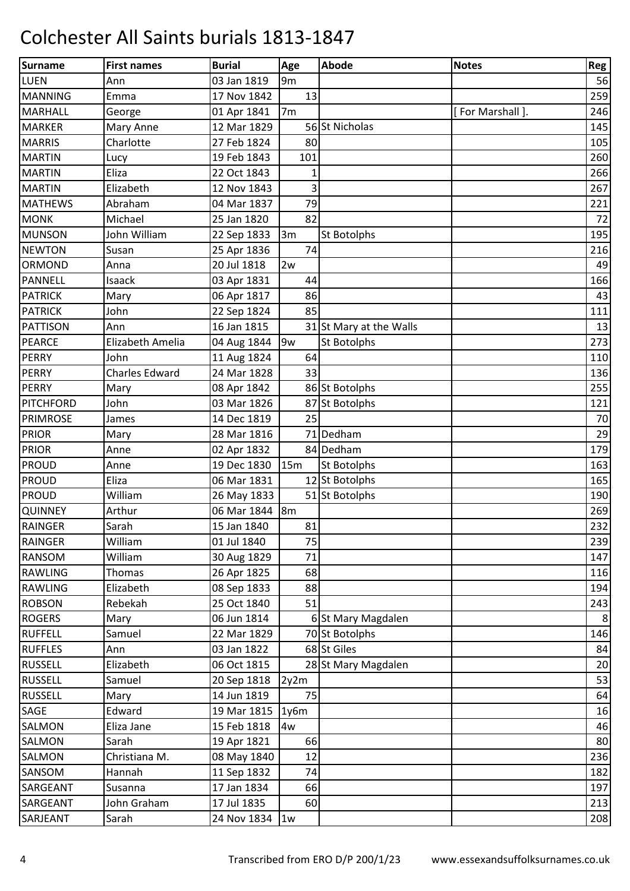| Surname         | <b>First names</b>    | <b>Burial</b> | Age            | <b>Abode</b>            | <b>Notes</b>    | Reg |
|-----------------|-----------------------|---------------|----------------|-------------------------|-----------------|-----|
| <b>LUEN</b>     | Ann                   | 03 Jan 1819   | 9 <sub>m</sub> |                         |                 | 56  |
| <b>MANNING</b>  | Emma                  | 17 Nov 1842   | 13             |                         |                 | 259 |
| MARHALL         | George                | 01 Apr 1841   | 7 <sub>m</sub> |                         | [For Marshall]. | 246 |
| <b>MARKER</b>   | Mary Anne             | 12 Mar 1829   |                | 56 St Nicholas          |                 | 145 |
| <b>MARRIS</b>   | Charlotte             | 27 Feb 1824   | 80             |                         |                 | 105 |
| <b>MARTIN</b>   | Lucy                  | 19 Feb 1843   | 101            |                         |                 | 260 |
| <b>MARTIN</b>   | Eliza                 | 22 Oct 1843   |                |                         |                 | 266 |
| <b>MARTIN</b>   | Elizabeth             | 12 Nov 1843   | 3              |                         |                 | 267 |
| <b>MATHEWS</b>  | Abraham               | 04 Mar 1837   | 79             |                         |                 | 221 |
| <b>MONK</b>     | Michael               | 25 Jan 1820   | 82             |                         |                 | 72  |
| <b>MUNSON</b>   | John William          | 22 Sep 1833   | 3m             | St Botolphs             |                 | 195 |
| <b>NEWTON</b>   | Susan                 | 25 Apr 1836   | 74             |                         |                 | 216 |
| ORMOND          | Anna                  | 20 Jul 1818   | 2w             |                         |                 | 49  |
| <b>PANNELL</b>  | Isaack                | 03 Apr 1831   | 44             |                         |                 | 166 |
| <b>PATRICK</b>  | Mary                  | 06 Apr 1817   | 86             |                         |                 | 43  |
| <b>PATRICK</b>  | John                  | 22 Sep 1824   | 85             |                         |                 | 111 |
| <b>PATTISON</b> | Ann                   | 16 Jan 1815   |                | 31 St Mary at the Walls |                 | 13  |
| <b>PEARCE</b>   | Elizabeth Amelia      | 04 Aug 1844   | 9w             | St Botolphs             |                 | 273 |
| <b>PERRY</b>    | John                  | 11 Aug 1824   | 64             |                         |                 | 110 |
| <b>PERRY</b>    | <b>Charles Edward</b> | 24 Mar 1828   | 33             |                         |                 | 136 |
| <b>PERRY</b>    | Mary                  | 08 Apr 1842   |                | 86 St Botolphs          |                 | 255 |
| PITCHFORD       | John                  | 03 Mar 1826   |                | 87 St Botolphs          |                 | 121 |
| <b>PRIMROSE</b> | James                 | 14 Dec 1819   | 25             |                         |                 | 70  |
| <b>PRIOR</b>    | Mary                  | 28 Mar 1816   |                | 71 Dedham               |                 | 29  |
| <b>PRIOR</b>    | Anne                  | 02 Apr 1832   |                | 84 Dedham               |                 | 179 |
| <b>PROUD</b>    | Anne                  | 19 Dec 1830   | 15m            | St Botolphs             |                 | 163 |
| <b>PROUD</b>    | Eliza                 | 06 Mar 1831   |                | 12 St Botolphs          |                 | 165 |
| <b>PROUD</b>    | William               | 26 May 1833   |                | 51 St Botolphs          |                 | 190 |
| <b>QUINNEY</b>  | Arthur                | 06 Mar 1844   | 8m             |                         |                 | 269 |
| <b>RAINGER</b>  | Sarah                 | 15 Jan 1840   | 81             |                         |                 | 232 |
| <b>RAINGER</b>  | William               | 01 Jul 1840   | 75             |                         |                 | 239 |
| <b>RANSOM</b>   | William               | 30 Aug 1829   | 71             |                         |                 | 147 |
| <b>RAWLING</b>  | Thomas                | 26 Apr 1825   | 68             |                         |                 | 116 |
| <b>RAWLING</b>  | Elizabeth             | 08 Sep 1833   | 88             |                         |                 | 194 |
| <b>ROBSON</b>   | Rebekah               | 25 Oct 1840   | 51             |                         |                 | 243 |
| <b>ROGERS</b>   | Mary                  | 06 Jun 1814   |                | 6 St Mary Magdalen      |                 | 8   |
| <b>RUFFELL</b>  | Samuel                | 22 Mar 1829   |                | 70 St Botolphs          |                 | 146 |
| <b>RUFFLES</b>  | Ann                   | 03 Jan 1822   |                | 68 St Giles             |                 | 84  |
| <b>RUSSELL</b>  | Elizabeth             | 06 Oct 1815   |                | 28 St Mary Magdalen     |                 | 20  |
| <b>RUSSELL</b>  | Samuel                | 20 Sep 1818   | 2y2m           |                         |                 | 53  |
| <b>RUSSELL</b>  | Mary                  | 14 Jun 1819   | 75             |                         |                 | 64  |
| SAGE            | Edward                | 19 Mar 1815   | 1y6m           |                         |                 | 16  |
| SALMON          | Eliza Jane            | 15 Feb 1818   | 4w             |                         |                 | 46  |
| SALMON          | Sarah                 | 19 Apr 1821   | 66             |                         |                 | 80  |
| SALMON          | Christiana M.         | 08 May 1840   | 12             |                         |                 | 236 |
| SANSOM          | Hannah                | 11 Sep 1832   | 74             |                         |                 | 182 |
| SARGEANT        | Susanna               | 17 Jan 1834   | 66             |                         |                 | 197 |
| SARGEANT        | John Graham           | 17 Jul 1835   | 60             |                         |                 | 213 |
| SARJEANT        | Sarah                 | 24 Nov 1834   | 1w             |                         |                 | 208 |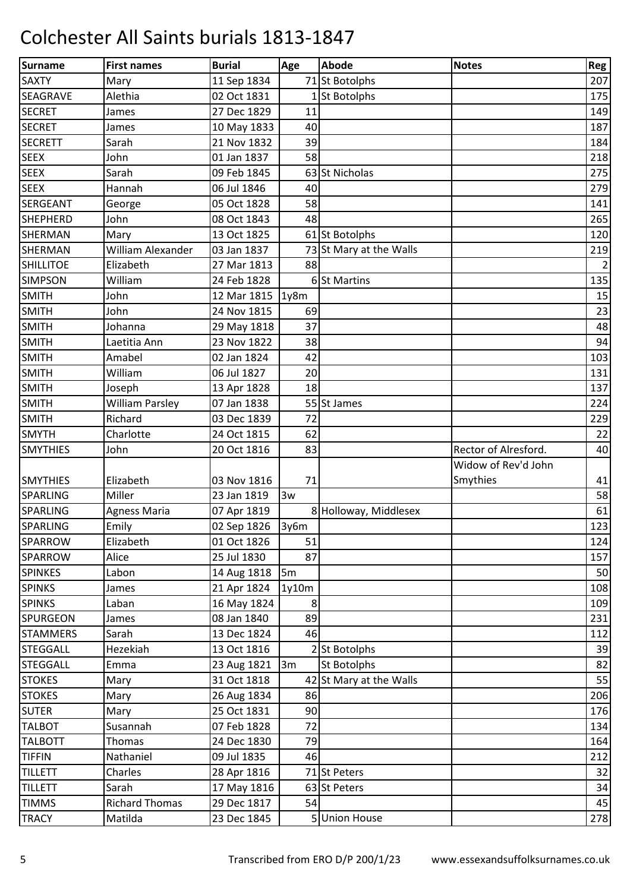| Surname          | <b>First names</b>     | <b>Burial</b> | Age   | <b>Abode</b>            | <b>Notes</b>         | <b>Reg</b>     |
|------------------|------------------------|---------------|-------|-------------------------|----------------------|----------------|
| <b>SAXTY</b>     | Mary                   | 11 Sep 1834   |       | 71 St Botolphs          |                      | 207            |
| <b>SEAGRAVE</b>  | Alethia                | 02 Oct 1831   |       | 1 St Botolphs           |                      | 175            |
| <b>SECRET</b>    | James                  | 27 Dec 1829   | 11    |                         |                      | 149            |
| <b>SECRET</b>    | James                  | 10 May 1833   | 40    |                         |                      | 187            |
| <b>SECRETT</b>   | Sarah                  | 21 Nov 1832   | 39    |                         |                      | 184            |
| <b>SEEX</b>      | John                   | 01 Jan 1837   | 58    |                         |                      | 218            |
| <b>SEEX</b>      | Sarah                  | 09 Feb 1845   |       | 63 St Nicholas          |                      | 275            |
| <b>SEEX</b>      | Hannah                 | 06 Jul 1846   | 40    |                         |                      | 279            |
| <b>SERGEANT</b>  | George                 | 05 Oct 1828   | 58    |                         |                      | 141            |
| <b>SHEPHERD</b>  | John                   | 08 Oct 1843   | 48    |                         |                      | 265            |
| <b>SHERMAN</b>   | Mary                   | 13 Oct 1825   |       | 61 St Botolphs          |                      | 120            |
| <b>SHERMAN</b>   | William Alexander      | 03 Jan 1837   |       | 73 St Mary at the Walls |                      | 219            |
| <b>SHILLITOE</b> | Elizabeth              | 27 Mar 1813   | 88    |                         |                      | $\overline{2}$ |
| <b>SIMPSON</b>   | William                | 24 Feb 1828   |       | 6 St Martins            |                      | 135            |
| <b>SMITH</b>     | John                   | 12 Mar 1815   | 1y8m  |                         |                      | 15             |
| <b>SMITH</b>     | John                   | 24 Nov 1815   | 69    |                         |                      | 23             |
| <b>SMITH</b>     | Johanna                | 29 May 1818   | 37    |                         |                      | 48             |
| <b>SMITH</b>     | Laetitia Ann           | 23 Nov 1822   | 38    |                         |                      | 94             |
| <b>SMITH</b>     | Amabel                 | 02 Jan 1824   | 42    |                         |                      | 103            |
| <b>SMITH</b>     | William                | 06 Jul 1827   | 20    |                         |                      | 131            |
| <b>SMITH</b>     | Joseph                 | 13 Apr 1828   | 18    |                         |                      | 137            |
| <b>SMITH</b>     | <b>William Parsley</b> | 07 Jan 1838   |       | 55 St James             |                      | 224            |
| <b>SMITH</b>     | Richard                | 03 Dec 1839   | 72    |                         |                      | 229            |
| <b>SMYTH</b>     | Charlotte              | 24 Oct 1815   | 62    |                         |                      | 22             |
| <b>SMYTHIES</b>  | John                   | 20 Oct 1816   | 83    |                         | Rector of Alresford. | 40             |
|                  |                        |               |       |                         | Widow of Rev'd John  |                |
| <b>SMYTHIES</b>  | Elizabeth              | 03 Nov 1816   | 71    |                         | Smythies             | 41             |
| <b>SPARLING</b>  | Miller                 | 23 Jan 1819   | 3w    |                         |                      | 58             |
| <b>SPARLING</b>  | <b>Agness Maria</b>    | 07 Apr 1819   |       | 8 Holloway, Middlesex   |                      | 61             |
| <b>SPARLING</b>  | Emily                  | 02 Sep 1826   | 3v6m  |                         |                      | 123            |
| SPARROW          | Elizabeth              | 01 Oct 1826   | 51    |                         |                      | 124            |
| <b>SPARROW</b>   | Alice                  | 25 Jul 1830   | 87    |                         |                      | 157            |
| <b>SPINKES</b>   | Labon                  | 14 Aug 1818   | 5m    |                         |                      | 50             |
| <b>SPINKS</b>    | James                  | 21 Apr 1824   | 1y10m |                         |                      | 108            |
| <b>SPINKS</b>    | Laban                  | 16 May 1824   | 8     |                         |                      | 109            |
| <b>SPURGEON</b>  | James                  | 08 Jan 1840   | 89    |                         |                      | 231            |
| <b>STAMMERS</b>  | Sarah                  | 13 Dec 1824   | 46    |                         |                      | 112            |
| <b>STEGGALL</b>  | Hezekiah               | 13 Oct 1816   |       | 2 St Botolphs           |                      | 39             |
| <b>STEGGALL</b>  | Emma                   | 23 Aug 1821   | 3m    | <b>St Botolphs</b>      |                      | 82             |
| <b>STOKES</b>    | Mary                   | 31 Oct 1818   |       | 42 St Mary at the Walls |                      | 55             |
| <b>STOKES</b>    | Mary                   | 26 Aug 1834   | 86    |                         |                      | 206            |
| <b>SUTER</b>     | Mary                   | 25 Oct 1831   | 90    |                         |                      | 176            |
| <b>TALBOT</b>    | Susannah               | 07 Feb 1828   | 72    |                         |                      | 134            |
| <b>TALBOTT</b>   | Thomas                 | 24 Dec 1830   | 79    |                         |                      | 164            |
| <b>TIFFIN</b>    | Nathaniel              | 09 Jul 1835   | 46    |                         |                      | 212            |
| <b>TILLETT</b>   | Charles                | 28 Apr 1816   |       | 71 St Peters            |                      | 32             |
| <b>TILLETT</b>   | Sarah                  | 17 May 1816   |       | 63 St Peters            |                      | 34             |
| <b>TIMMS</b>     | <b>Richard Thomas</b>  | 29 Dec 1817   | 54    |                         |                      | 45             |
| <b>TRACY</b>     | Matilda                | 23 Dec 1845   |       | 5 Union House           |                      | 278            |